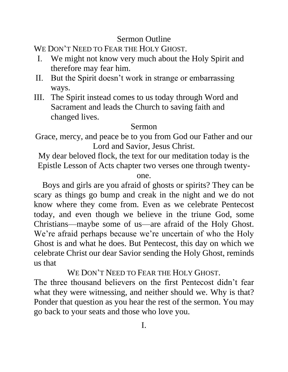## Sermon Outline

WE DON'T NEED TO FEAR THE HOLY GHOST.

- I. We might not know very much about the Holy Spirit and therefore may fear him.
- II. But the Spirit doesn't work in strange or embarrassing ways.
- III. The Spirit instead comes to us today through Word and Sacrament and leads the Church to saving faith and changed lives.

## Sermon

Grace, mercy, and peace be to you from God our Father and our Lord and Savior, Jesus Christ.

My dear beloved flock, the text for our meditation today is the Epistle Lesson of Acts chapter two verses one through twenty-

one.

Boys and girls are you afraid of ghosts or spirits? They can be scary as things go bump and creak in the night and we do not know where they come from. Even as we celebrate Pentecost today, and even though we believe in the triune God, some Christians—maybe some of us—are afraid of the Holy Ghost. We're afraid perhaps because we're uncertain of who the Holy Ghost is and what he does. But Pentecost, this day on which we celebrate Christ our dear Savior sending the Holy Ghost, reminds us that

WE DON'T NEED TO FEAR THE HOLY GHOST.

The three thousand believers on the first Pentecost didn't fear what they were witnessing, and neither should we. Why is that? Ponder that question as you hear the rest of the sermon. You may go back to your seats and those who love you.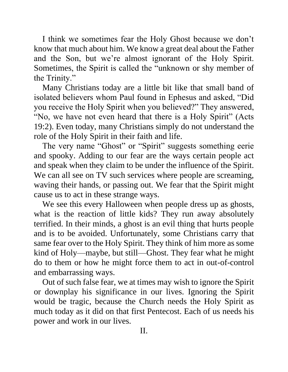I think we sometimes fear the Holy Ghost because we don't know that much about him. We know a great deal about the Father and the Son, but we're almost ignorant of the Holy Spirit. Sometimes, the Spirit is called the "unknown or shy member of the Trinity."

Many Christians today are a little bit like that small band of isolated believers whom Paul found in Ephesus and asked, "Did you receive the Holy Spirit when you believed?" They answered, "No, we have not even heard that there is a Holy Spirit" (Acts 19:2). Even today, many Christians simply do not understand the role of the Holy Spirit in their faith and life.

The very name "Ghost" or "Spirit" suggests something eerie and spooky. Adding to our fear are the ways certain people act and speak when they claim to be under the influence of the Spirit. We can all see on TV such services where people are screaming, waving their hands, or passing out. We fear that the Spirit might cause us to act in these strange ways.

We see this every Halloween when people dress up as ghosts, what is the reaction of little kids? They run away absolutely terrified. In their minds, a ghost is an evil thing that hurts people and is to be avoided. Unfortunately, some Christians carry that same fear over to the Holy Spirit. They think of him more as some kind of Holy—maybe, but still—Ghost. They fear what he might do to them or how he might force them to act in out-of-control and embarrassing ways.

Out of such false fear, we at times may wish to ignore the Spirit or downplay his significance in our lives. Ignoring the Spirit would be tragic, because the Church needs the Holy Spirit as much today as it did on that first Pentecost. Each of us needs his power and work in our lives.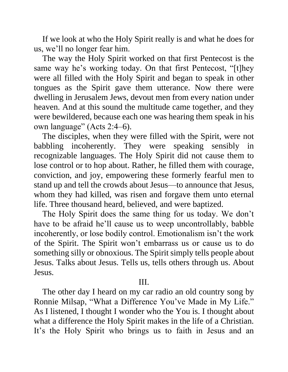If we look at who the Holy Spirit really is and what he does for us, we'll no longer fear him.

The way the Holy Spirit worked on that first Pentecost is the same way he's working today. On that first Pentecost, "[t]hey were all filled with the Holy Spirit and began to speak in other tongues as the Spirit gave them utterance. Now there were dwelling in Jerusalem Jews, devout men from every nation under heaven. And at this sound the multitude came together, and they were bewildered, because each one was hearing them speak in his own language" (Acts 2:4–6).

The disciples, when they were filled with the Spirit, were not babbling incoherently. They were speaking sensibly in recognizable languages. The Holy Spirit did not cause them to lose control or to hop about. Rather, he filled them with courage, conviction, and joy, empowering these formerly fearful men to stand up and tell the crowds about Jesus—to announce that Jesus, whom they had killed, was risen and forgave them unto eternal life. Three thousand heard, believed, and were baptized.

The Holy Spirit does the same thing for us today. We don't have to be afraid he'll cause us to weep uncontrollably, babble incoherently, or lose bodily control. Emotionalism isn't the work of the Spirit. The Spirit won't embarrass us or cause us to do something silly or obnoxious. The Spirit simply tells people about Jesus. Talks about Jesus. Tells us, tells others through us. About Jesus.

## III.

The other day I heard on my car radio an old country song by Ronnie Milsap, "What a Difference You've Made in My Life." As I listened, I thought I wonder who the You is. I thought about what a difference the Holy Spirit makes in the life of a Christian. It's the Holy Spirit who brings us to faith in Jesus and an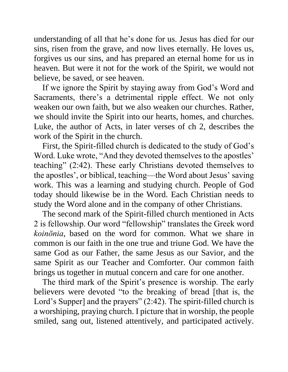understanding of all that he's done for us. Jesus has died for our sins, risen from the grave, and now lives eternally. He loves us, forgives us our sins, and has prepared an eternal home for us in heaven. But were it not for the work of the Spirit, we would not believe, be saved, or see heaven.

If we ignore the Spirit by staying away from God's Word and Sacraments, there's a detrimental ripple effect. We not only weaken our own faith, but we also weaken our churches. Rather, we should invite the Spirit into our hearts, homes, and churches. Luke, the author of Acts, in later verses of ch 2, describes the work of the Spirit in the church.

First, the Spirit-filled church is dedicated to the study of God's Word. Luke wrote, "And they devoted themselves to the apostles' teaching" (2:42). These early Christians devoted themselves to the apostles', or biblical, teaching—the Word about Jesus' saving work. This was a learning and studying church. People of God today should likewise be in the Word. Each Christian needs to study the Word alone and in the company of other Christians.

The second mark of the Spirit-filled church mentioned in Acts 2 is fellowship. Our word "fellowship" translates the Greek word *koinōnia*, based on the word for common. What we share in common is our faith in the one true and triune God. We have the same God as our Father, the same Jesus as our Savior, and the same Spirit as our Teacher and Comforter. Our common faith brings us together in mutual concern and care for one another.

The third mark of the Spirit's presence is worship. The early believers were devoted "to the breaking of bread [that is, the Lord's Supper] and the prayers" (2:42). The spirit-filled church is a worshiping, praying church. I picture that in worship, the people smiled, sang out, listened attentively, and participated actively.